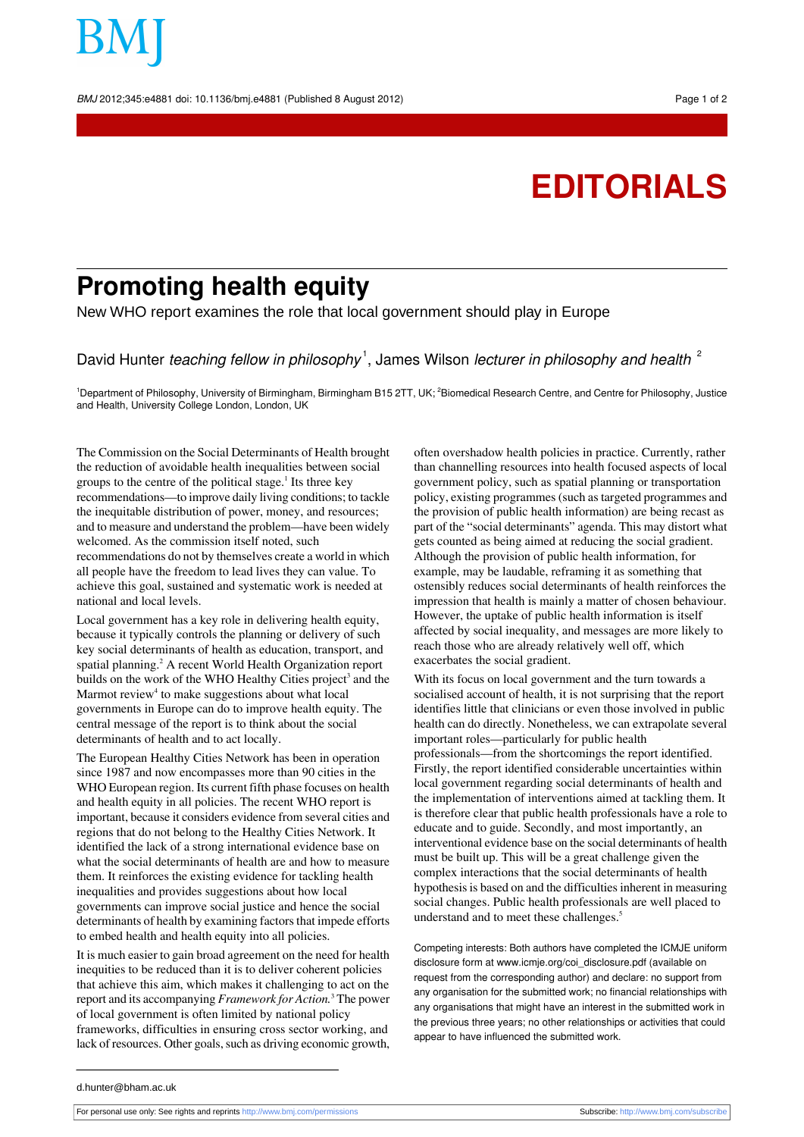BMJ 2012;345:e4881 doi: 10.1136/bmj.e4881 (Published 8 August 2012) Page 1 of 2

## **EDITORIALS**

## **Promoting health equity**

New WHO report examines the role that local government should play in Europe

David Hunter *teaching fellow in philosophy*<sup>1</sup>, James Wilson *lecturer in philosophy and health*  $^{2}$ 

<sup>1</sup>Department of Philosophy, University of Birmingham, Birmingham B15 2TT, UK; <sup>2</sup>Biomedical Research Centre, and Centre for Philosophy, Justice and Health, University College London, London, UK

The Commission on the Social Determinants of Health brought the reduction of avoidable health inequalities between social groups to the centre of the political stage.<sup>1</sup> Its three key recommendations—to improve daily living conditions; to tackle the inequitable distribution of power, money, and resources; and to measure and understand the problem—have been widely welcomed. As the commission itself noted, such recommendations do not by themselves create a world in which all people have the freedom to lead lives they can value. To achieve this goal, sustained and systematic work is needed at national and local levels.

Local government has a key role in delivering health equity, because it typically controls the planning or delivery of such key social determinants of health as education, transport, and spatial planning.<sup>2</sup> A recent World Health Organization report builds on the work of the WHO Healthy Cities project<sup>3</sup> and the Marmot review<sup>4</sup> to make suggestions about what local governments in Europe can do to improve health equity. The central message of the report is to think about the social determinants of health and to act locally.

The European Healthy Cities Network has been in operation since 1987 and now encompasses more than 90 cities in the WHO European region. Its current fifth phase focuses on health and health equity in all policies. The recent WHO report is important, because it considers evidence from several cities and regions that do not belong to the Healthy Cities Network. It identified the lack of a strong international evidence base on what the social determinants of health are and how to measure them. It reinforces the existing evidence for tackling health inequalities and provides suggestions about how local governments can improve social justice and hence the social determinants of health by examining factors that impede efforts to embed health and health equity into all policies.

It is much easier to gain broad agreement on the need for health inequities to be reduced than it is to deliver coherent policies that achieve this aim, which makes it challenging to act on the report and its accompanying *Framework for Action.*<sup>3</sup> The power of local government is often limited by national policy frameworks, difficulties in ensuring cross sector working, and lack of resources. Other goals, such as driving economic growth, often overshadow health policies in practice. Currently, rather than channelling resources into health focused aspects of local government policy, such as spatial planning or transportation policy, existing programmes (such as targeted programmes and the provision of public health information) are being recast as part of the "social determinants" agenda. This may distort what gets counted as being aimed at reducing the social gradient. Although the provision of public health information, for example, may be laudable, reframing it as something that ostensibly reduces social determinants of health reinforces the impression that health is mainly a matter of chosen behaviour. However, the uptake of public health information is itself affected by social inequality, and messages are more likely to reach those who are already relatively well off, which exacerbates the social gradient.

With its focus on local government and the turn towards a socialised account of health, it is not surprising that the report identifies little that clinicians or even those involved in public health can do directly. Nonetheless, we can extrapolate several important roles—particularly for public health professionals—from the shortcomings the report identified. Firstly, the report identified considerable uncertainties within local government regarding social determinants of health and the implementation of interventions aimed at tackling them. It is therefore clear that public health professionals have a role to educate and to guide. Secondly, and most importantly, an interventional evidence base on the social determinants of health must be built up. This will be a great challenge given the complex interactions that the social determinants of health hypothesis is based on and the difficulties inherent in measuring social changes. Public health professionals are well placed to understand and to meet these challenges.<sup>5</sup>

Competing interests: Both authors have completed the ICMJE uniform disclosure form at [www.icmje.org/coi\\_disclosure.pdf](http://www.icmje.org/coi_disclosure.pdf) (available on request from the corresponding author) and declare: no support from any organisation for the submitted work; no financial relationships with any organisations that might have an interest in the submitted work in the previous three years; no other relationships or activities that could appear to have influenced the submitted work.

d.hunter@bham.ac.uk